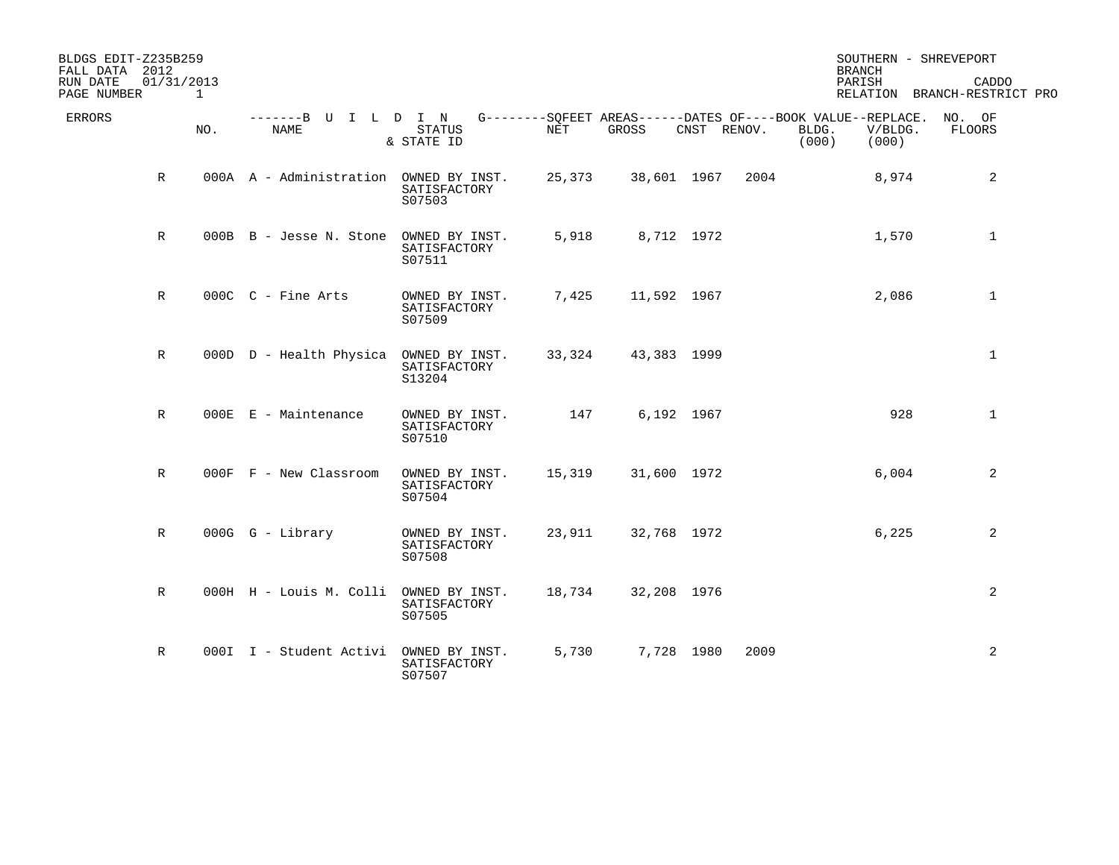| BLDGS EDIT-Z235B259<br>FALL DATA 2012 |                            |                                        |                                          |            |             |                     | <b>BRANCH</b>                                                                                     | SOUTHERN - SHREVEPORT                 |
|---------------------------------------|----------------------------|----------------------------------------|------------------------------------------|------------|-------------|---------------------|---------------------------------------------------------------------------------------------------|---------------------------------------|
| RUN DATE<br>PAGE NUMBER               | 01/31/2013<br>$\mathbf{1}$ |                                        |                                          |            |             |                     | PARISH                                                                                            | CADDO<br>RELATION BRANCH-RESTRICT PRO |
| <b>ERRORS</b>                         | NO.                        | -------B U I L D I N<br><b>NAME</b>    | <b>STATUS</b><br>& STATE ID              | <b>NET</b> | GROSS       | CNST RENOV.         | G--------SOFEET AREAS------DATES OF----BOOK VALUE--REPLACE.<br>BLDG.<br>V/BLDG.<br>(000)<br>(000) | NO. OF<br><b>FLOORS</b>               |
| $\mathbb R$                           |                            | 000A A - Administration OWNED BY INST. | SATISFACTORY<br>S07503                   | 25,373     |             | 38,601 1967<br>2004 | 8,974                                                                                             | 2                                     |
| $\mathbb{R}$                          |                            | 000B B - Jesse N. Stone                | OWNED BY INST.<br>SATISFACTORY<br>S07511 | 5,918      |             | 8,712 1972          | 1,570                                                                                             | $\mathbf{1}$                          |
| $\mathbb{R}$                          |                            | 000C C - Fine Arts                     | OWNED BY INST.<br>SATISFACTORY<br>S07509 | 7,425      | 11,592 1967 |                     | 2,086                                                                                             | $\mathbf{1}$                          |
| $\mathbb{R}$                          |                            | 000D D - Health Physica                | OWNED BY INST.<br>SATISFACTORY<br>S13204 | 33,324     | 43,383 1999 |                     |                                                                                                   | $\mathbf{1}$                          |
| $\mathbb R$                           |                            | 000E E - Maintenance                   | OWNED BY INST.<br>SATISFACTORY<br>S07510 | 147        |             | 6,192 1967          | 928                                                                                               | $\mathbf{1}$                          |
| $\mathbb R$                           |                            | 000F F - New Classroom                 | OWNED BY INST.<br>SATISFACTORY<br>S07504 | 15,319     | 31,600 1972 |                     | 6,004                                                                                             | 2                                     |
| $\mathbb R$                           |                            | $000G$ $G$ - Library                   | OWNED BY INST.<br>SATISFACTORY<br>S07508 | 23,911     | 32,768 1972 |                     | 6,225                                                                                             | 2                                     |
| $\mathbb{R}$                          |                            | 000H H - Louis M. Colli                | OWNED BY INST.<br>SATISFACTORY<br>S07505 | 18,734     | 32,208 1976 |                     |                                                                                                   | 2                                     |
| $\mathbb R$                           |                            | 000I I - Student Activi                | OWNED BY INST.<br>SATISFACTORY<br>S07507 | 5,730      |             | 2009<br>7,728 1980  |                                                                                                   | 2                                     |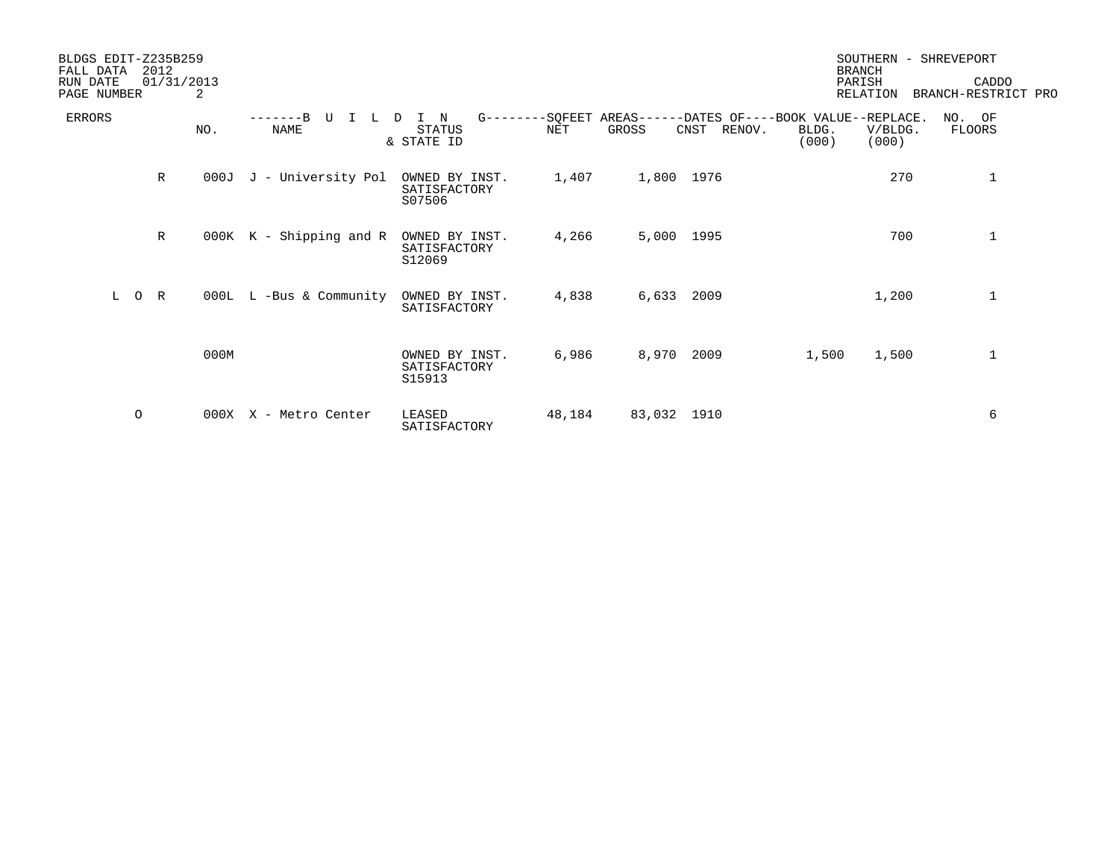| BLDGS EDIT-Z235B259<br>2012<br>FALL DATA |              |      |                              |                                          |        |             | SOUTHERN - SHREVEPORT<br><b>BRANCH</b>                                        |                |                           |                              |
|------------------------------------------|--------------|------|------------------------------|------------------------------------------|--------|-------------|-------------------------------------------------------------------------------|----------------|---------------------------|------------------------------|
| RUN DATE<br>PAGE NUMBER                  | 01/31/2013   | 2    |                              |                                          |        |             |                                                                               |                | PARISH<br><b>RELATION</b> | CADDO<br>BRANCH-RESTRICT PRO |
| <b>ERRORS</b>                            |              | NO.  | $-----B$<br>U<br><b>NAME</b> | I N<br>D.<br><b>STATUS</b><br>& STATE ID | NET    | GROSS       | G--------SQFEET AREAS------DATES OF----BOOK VALUE--REPLACE.<br>CNST<br>RENOV. | BLDG.<br>(000) | V/BLDG.<br>(000)          | NO. OF<br>FLOORS             |
|                                          | $\mathbb{R}$ | 000J | J - University Pol           | OWNED BY INST.<br>SATISFACTORY<br>S07506 | 1,407  | 1,800 1976  |                                                                               |                | 270                       | 1                            |
|                                          | $\mathbb{R}$ |      | 000K K - Shipping and R      | OWNED BY INST.<br>SATISFACTORY<br>S12069 | 4,266  | 5,000 1995  |                                                                               |                | 700                       | 1                            |
| L<br>$\circ$                             | R            |      | 000L L -Bus & Community      | OWNED BY INST.<br>SATISFACTORY           | 4,838  | 6,633       | 2009                                                                          |                | 1,200                     | $\mathbf{1}$                 |
|                                          |              | 000M |                              | OWNED BY INST.<br>SATISFACTORY<br>S15913 | 6,986  | 8,970       | 2009                                                                          | 1,500          | 1,500                     | 1                            |
| $\circ$                                  |              |      | 000X X - Metro Center        | LEASED<br>SATISFACTORY                   | 48,184 | 83,032 1910 |                                                                               |                |                           | 6                            |